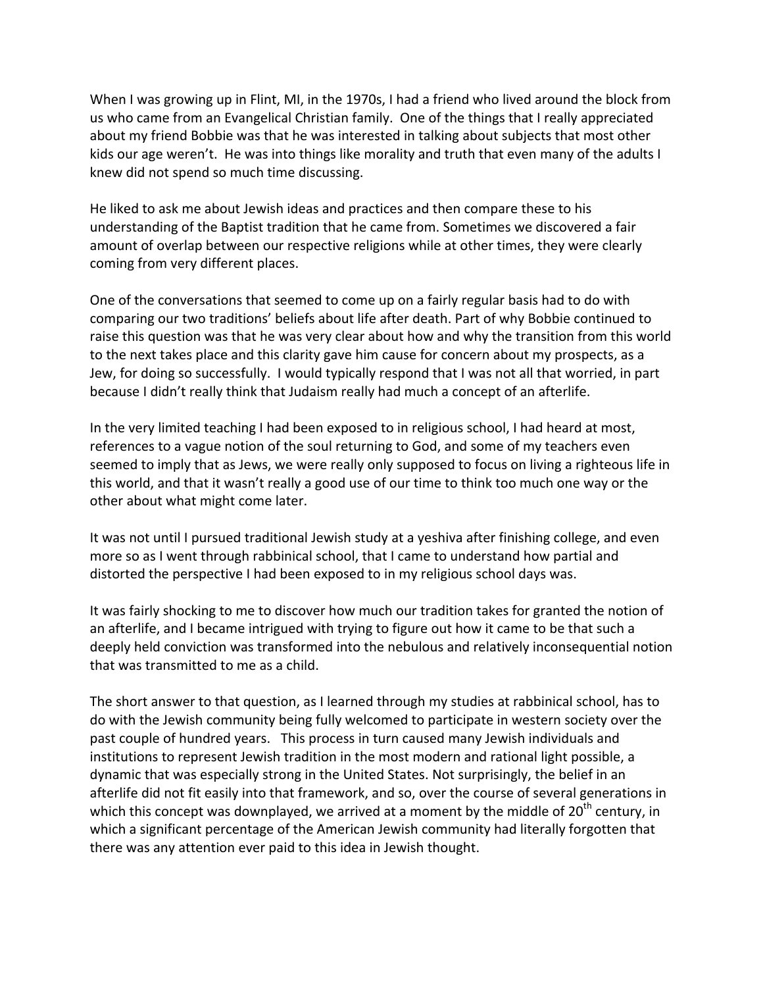When I was growing up in Flint, MI, in the 1970s, I had a friend who lived around the block from us
who
came
from
an
Evangelical
Christian
family. One
of
the
things
that
I
really
appreciated about my friend Bobbie was that he was interested in talking about subjects that most other kids our age weren't. He was into things like morality and truth that even many of the adults I knew
did
not
spend
so
much
time
discussing.

He liked to ask me about Jewish ideas and practices and then compare these to his understanding
of
the
Baptist
tradition
that
he
came
from.
Sometimes
we
discovered
a
fair amount of overlap between our respective religions while at other times, they were clearly coming
from
very
different
places.

One of the conversations that seemed to come up on a fairly regular basis had to do with comparing
our
two
traditions'
beliefs
about
life
after
death.
Part
of
why
Bobbie
continued
to raise this question was that he was very clear about how and why the transition from this world to the next takes place and this clarity gave him cause for concern about my prospects, as a Jew,
for
doing
so
successfully. I
would
typically
respond
that
I
was
not
all
that
worried,
in
part because I didn't really think that Judaism really had much a concept of an afterlife.

In the very limited teaching I had been exposed to in religious school, I had heard at most, references
to
a
vague
notion
of
the
soul
returning
to
God,
and
some
of
my
teachers
even seemed to imply that as Jews, we were really only supposed to focus on living a righteous life in this world, and that it wasn't really a good use of our time to think too much one way or the other
about
what
might
come
later.

It was not until I pursued traditional Jewish study at a yeshiva after finishing college, and even more so as I went through rabbinical school, that I came to understand how partial and distorted
the
perspective
I
had
been
exposed
to
in
my
religious
school
days
was.

It was fairly shocking to me to discover how much our tradition takes for granted the notion of an afterlife, and I became intrigued with trying to figure out how it came to be that such a deeply held conviction was transformed into the nebulous and relatively inconsequential notion that
was
transmitted
to
me
as
a
child.

The
short
answer
to
that
question,
as
I
learned
through
my
studies
at
rabbinical
school,
has
to do
with
the
Jewish
community
being
fully
welcomed
to
participate
in
western
society
over
the past
couple
of
hundred
years. This
process
in
turn
caused
many
Jewish
individuals
and institutions to represent Jewish tradition in the most modern and rational light possible, a dynamic that was especially strong in the United States. Not surprisingly, the belief in an afterlife did not fit easily into that framework, and so, over the course of several generations in which this concept was downplayed, we arrived at a moment by the middle of  $20<sup>th</sup>$  century, in which a significant percentage of the American Jewish community had literally forgotten that there
was
any
attention
ever
paid
to
this
idea
in
Jewish
thought.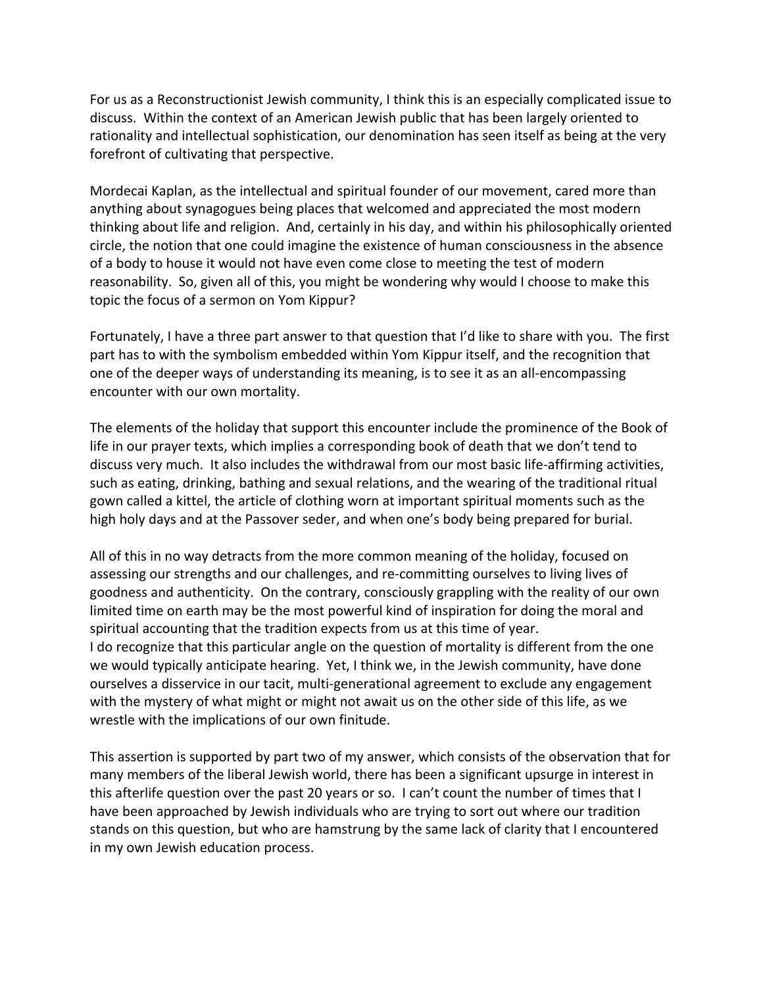For us as a Reconstructionist Jewish community, I think this is an especially complicated issue to discuss. Within
the
context
of
an
American
Jewish
public
that
has
been
largely
oriented
to rationality and intellectual sophistication, our denomination has seen itself as being at the very forefront
of
cultivating
that
perspective.

Mordecai Kaplan, as the intellectual and spiritual founder of our movement, cared more than anything
about
synagogues
being
places
that
welcomed
and
appreciated
the
most
modern thinking about life and religion. And, certainly in his day, and within his philosophically oriented circle,
the
notion
that
one
could
imagine
the
existence
of
human
consciousness
in
the
absence of
a
body
to
house
it
would
not
have
even
come
close
to
meeting
the
test
of
modern reasonability. So, given all of this, you might be wondering why would I choose to make this topic
the
focus
of
a
sermon
on
Yom
Kippur?

Fortunately, I have a three part answer to that question that I'd like to share with you. The first part has to with the symbolism embedded within Yom Kippur itself, and the recognition that one
of
the
deeper
ways
of
understanding
its
meaning,
is
to
see
it
as
an
all‐encompassing encounter
with
our
own
mortality.

The
elements
of
the
holiday
that
support
this
encounter
include
the
prominence
of
the
Book
of life in our prayer texts, which implies a corresponding book of death that we don't tend to discuss very much. It also includes the withdrawal from our most basic life-affirming activities, such as eating, drinking, bathing and sexual relations, and the wearing of the traditional ritual gown called a kittel, the article of clothing worn at important spiritual moments such as the high holy days and at the Passover seder, and when one's body being prepared for burial.

All
of
this
in
no
way
detracts
from
the
more
common
meaning
of
the
holiday,
focused
on assessing our strengths and our challenges, and re-committing ourselves to living lives of goodness
and
authenticity.

On
the
contrary,
consciously
grappling
with
the
reality
of
our
own limited time on earth may be the most powerful kind of inspiration for doing the moral and spiritual accounting that the tradition expects from us at this time of year. I do recognize that this particular angle on the question of mortality is different from the one we would typically anticipate hearing. Yet, I think we, in the Jewish community, have done ourselves a disservice in our tacit, multi-generational agreement to exclude any engagement with the mystery of what might or might not await us on the other side of this life, as we wrestle with the implications of our own finitude.

This
assertion
is
supported
by
part
two
of
my
answer,
which
consists
of
the
observation
that
for many members of the liberal Jewish world, there has been a significant upsurge in interest in this afterlife question over the past 20 years or so. I can't count the number of times that I have been approached by Jewish individuals who are trying to sort out where our tradition stands
on
this
question,
but
who
are
hamstrung
by
the
same
lack
of
clarity
that
I
encountered in
my
own
Jewish
education
process.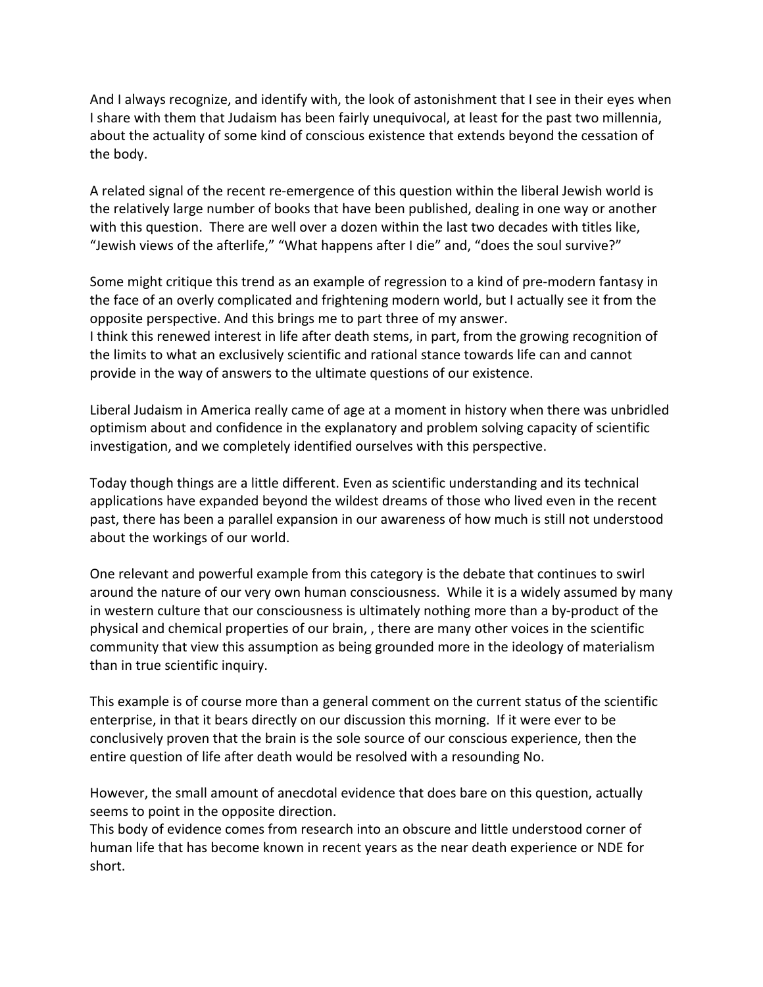And I always recognize, and identify with, the look of astonishment that I see in their eyes when I share with them that Judaism has been fairly unequivocal, at least for the past two millennia, about the actuality of some kind of conscious existence that extends beyond the cessation of the
body.

A related signal of the recent re-emergence of this question within the liberal Jewish world is the
relatively
large
number
of
books
that
have
been
published,
dealing
in
one
way
or
another with this question. There are well over a dozen within the last two decades with titles like, "Jewish views of the afterlife," "What happens after I die" and, "does the soul survive?"

Some
might
critique
this
trend
as
an
example
of
regression
to
a
kind
of
pre‐modern
fantasy
in the face of an overly complicated and frightening modern world, but I actually see it from the opposite
perspective.
And
this
brings
me
to
part
three
of
my
answer. I think this renewed interest in life after death stems, in part, from the growing recognition of the
limits
to
what
an
exclusively
scientific
and
rational
stance
towards
life
can
and
cannot provide
in
the
way
of
answers
to
the
ultimate
questions
of
our
existence.

Liberal Judaism in America really came of age at a moment in history when there was unbridled optimism
about
and
confidence
in
the
explanatory
and
problem
solving
capacity
of
scientific investigation,
and
we
completely
identified
ourselves
with
this
perspective.

Today though things are a little different. Even as scientific understanding and its technical applications
have
expanded
beyond
the
wildest
dreams
of
those
who
lived
even
in
the
recent past,
there
has
been
a
parallel
expansion
in
our
awareness
of
how
much
is
still
not
understood about
the
workings
of
our
world.

One relevant and powerful example from this category is the debate that continues to swirl around the nature of our very own human consciousness. While it is a widely assumed by many in western culture that our consciousness is ultimately nothing more than a by-product of the physical
and
chemical
properties
of
our
brain,
,
there
are
many
other
voices
in
the
scientific community that view this assumption as being grounded more in the ideology of materialism than
in
true
scientific
inquiry.

This example is of course more than a general comment on the current status of the scientific enterprise, in that it bears directly on our discussion this morning. If it were ever to be conclusively
proven
that
the
brain
is
the
sole
source
of
our
conscious
experience,
then
the entire
question
of
life
after
death
would
be
resolved
with
a
resounding
No.

However, the small amount of anecdotal evidence that does bare on this question, actually seems
to
point
in
the
opposite
direction.

This body of evidence comes from research into an obscure and little understood corner of human life that has become known in recent years as the near death experience or NDE for short.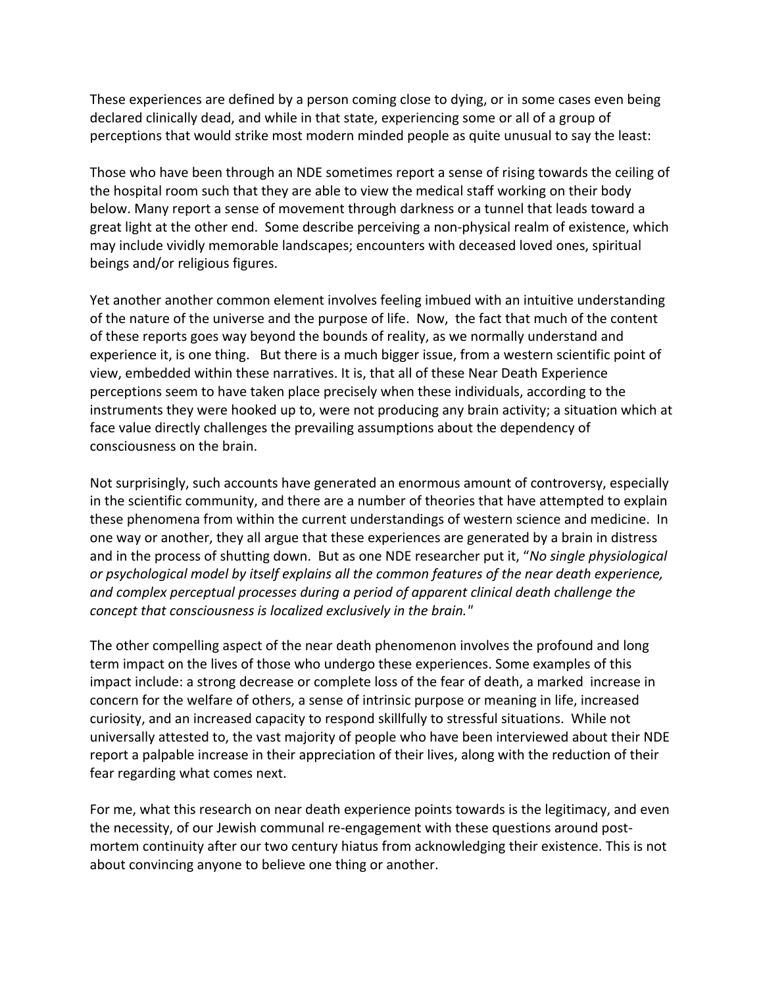These
experiences
are
defined
by
a
person
coming
close
to
dying,
or
in
some
cases
even
being declared clinically dead, and while in that state, experiencing some or all of a group of perceptions that would strike most modern minded people as quite unusual to say the least:

Those who have been through an NDE sometimes report a sense of rising towards the ceiling of the hospital room such that they are able to view the medical staff working on their body below. Many report a sense of movement through darkness or a tunnel that leads toward a great light at the other end. Some describe perceiving a non-physical realm of existence, which may
include
vividly
memorable
landscapes;
encounters
with
deceased
loved
ones,
spiritual beings
and/or
religious
figures.

Yet another another common element involves feeling imbued with an intuitive understanding of
the
nature
of
the
universe
and
the
purpose
of
life.

Now,

the
fact
that
much
of
the
content of
these
reports
goes
way
beyond
the
bounds
of
reality,
as
we
normally
understand
and experience it, is one thing. But there is a much bigger issue, from a western scientific point of view,
embedded
within
these
narratives.
It
is,
that
all
of
these
Near
Death
Experience perceptions
seem
to
have
taken
place
precisely
when
these
individuals,
according
to
the instruments they were hooked up to, were not producing any brain activity; a situation which at face value directly challenges the prevailing assumptions about the dependency of consciousness
on
the
brain.

Not surprisingly, such accounts have generated an enormous amount of controversy, especially in the scientific community, and there are a number of theories that have attempted to explain these
phenomena
from
within
the
current
understandings
of
western
science
and
medicine.

In one
way
or
another,
they
all
argue
that
these
experiences
are
generated
by
a
brain
in
distress and
in
the
process
of
shutting
down.

But
as
one
NDE
researcher
put
it,
"*No
single
physiological or
psychological
model
by
itself
explains
all
the
common
features
of
the
near
death
experience, and
complex
perceptual
processes
during
a
period
of
apparent
clinical
death
challenge
the*  concept that consciousness is localized exclusively in the brain."

The other compelling aspect of the near death phenomenon involves the profound and long term impact on the lives of those who undergo these experiences. Some examples of this impact
include:
a
strong
decrease
or
complete
loss
of
the
fear
of
death,
a
marked

increase
in concern
for
the
welfare
of
others,
a
sense
of
intrinsic
purpose
or
meaning
in
life,
increased curiosity, and an increased capacity to respond skillfully to stressful situations. While not universally attested to, the vast majority of people who have been interviewed about their NDE report a palpable increase in their appreciation of their lives, along with the reduction of their fear
regarding
what
comes
next.

For me, what this research on near death experience points towards is the legitimacy, and even the necessity, of our Jewish communal re-engagement with these questions around postmortem continuity after our two century hiatus from acknowledging their existence. This is not about convincing anyone to believe one thing or another.